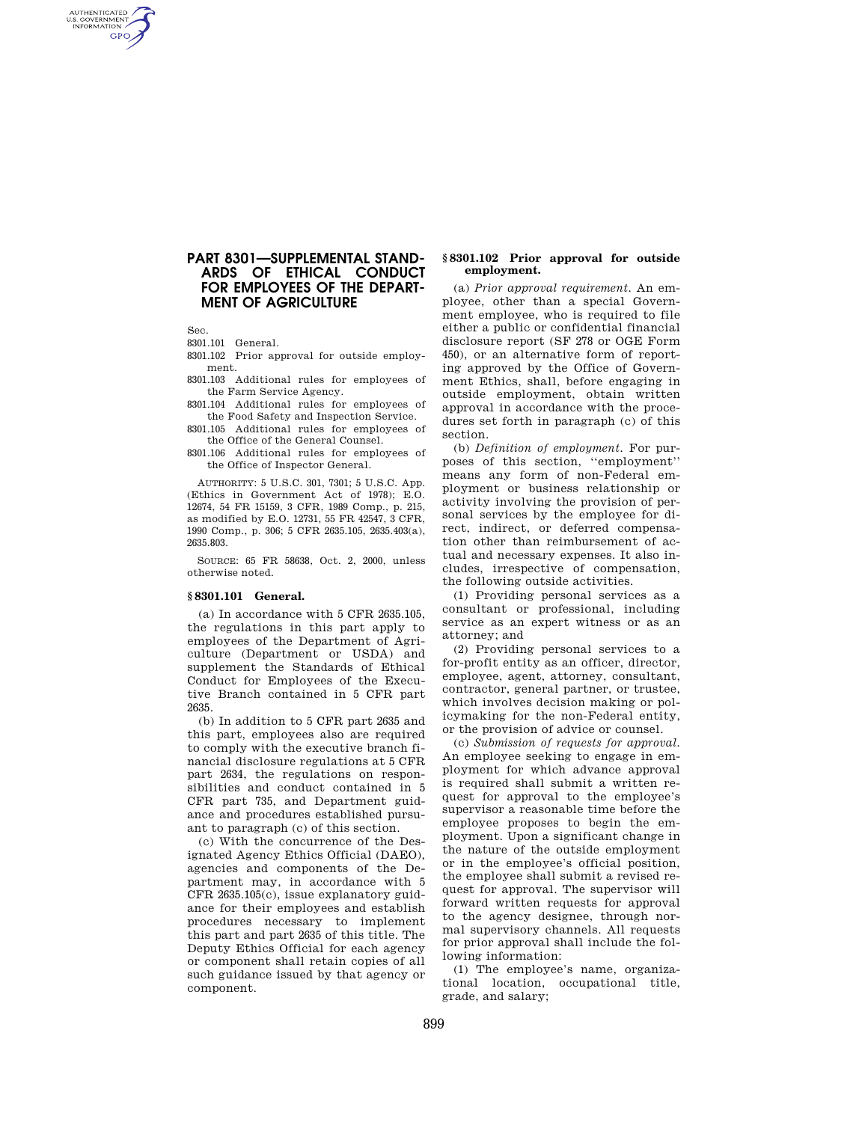## **PART 8301—SUPPLEMENTAL STAND-ARDS OF ETHICAL CONDUCT FOR EMPLOYEES OF THE DEPART-MENT OF AGRICULTURE**

Sec.

AUTHENTICATED<br>U.S. GOVERNMENT<br>INFORMATION **GPO** 

8301.101 General.

8301.102 Prior approval for outside employment.

8301.103 Additional rules for employees of the Farm Service Agency.

8301.104 Additional rules for employees of the Food Safety and Inspection Service.

8301.105 Additional rules for employees of the Office of the General Counsel.

8301.106 Additional rules for employees of the Office of Inspector General.

AUTHORITY: 5 U.S.C. 301, 7301; 5 U.S.C. App. (Ethics in Government Act of 1978); E.O. 12674, 54 FR 15159, 3 CFR, 1989 Comp., p. 215, as modified by E.O. 12731, 55 FR 42547, 3 CFR, 1990 Comp., p. 306; 5 CFR 2635.105, 2635.403(a), 2635.803.

SOURCE: 65 FR 58638, Oct. 2, 2000, unless otherwise noted.

#### **§ 8301.101 General.**

(a) In accordance with 5 CFR 2635.105, the regulations in this part apply to employees of the Department of Agriculture (Department or USDA) and supplement the Standards of Ethical Conduct for Employees of the Executive Branch contained in 5 CFR part 2635.

(b) In addition to 5 CFR part 2635 and this part, employees also are required to comply with the executive branch financial disclosure regulations at 5 CFR part 2634, the regulations on responsibilities and conduct contained in 5 CFR part 735, and Department guidance and procedures established pursuant to paragraph (c) of this section.

(c) With the concurrence of the Designated Agency Ethics Official (DAEO), agencies and components of the Department may, in accordance with 5 CFR 2635.105(c), issue explanatory guidance for their employees and establish procedures necessary to implement this part and part 2635 of this title. The Deputy Ethics Official for each agency or component shall retain copies of all such guidance issued by that agency or component.

### **§ 8301.102 Prior approval for outside employment.**

(a) *Prior approval requirement.* An employee, other than a special Government employee, who is required to file either a public or confidential financial disclosure report (SF 278 or OGE Form 450), or an alternative form of reporting approved by the Office of Government Ethics, shall, before engaging in outside employment, obtain written approval in accordance with the procedures set forth in paragraph (c) of this section.

(b) *Definition of employment.* For purposes of this section, ''employment'' means any form of non-Federal employment or business relationship or activity involving the provision of personal services by the employee for direct, indirect, or deferred compensation other than reimbursement of actual and necessary expenses. It also includes, irrespective of compensation, the following outside activities.

(1) Providing personal services as a consultant or professional, including service as an expert witness or as an attorney; and

(2) Providing personal services to a for-profit entity as an officer, director, employee, agent, attorney, consultant, contractor, general partner, or trustee, which involves decision making or policymaking for the non-Federal entity, or the provision of advice or counsel.

(c) *Submission of requests for approval.*  An employee seeking to engage in employment for which advance approval is required shall submit a written request for approval to the employee's supervisor a reasonable time before the employee proposes to begin the employment. Upon a significant change in the nature of the outside employment or in the employee's official position, the employee shall submit a revised request for approval. The supervisor will forward written requests for approval to the agency designee, through normal supervisory channels. All requests for prior approval shall include the following information:

(1) The employee's name, organizational location, occupational title, grade, and salary;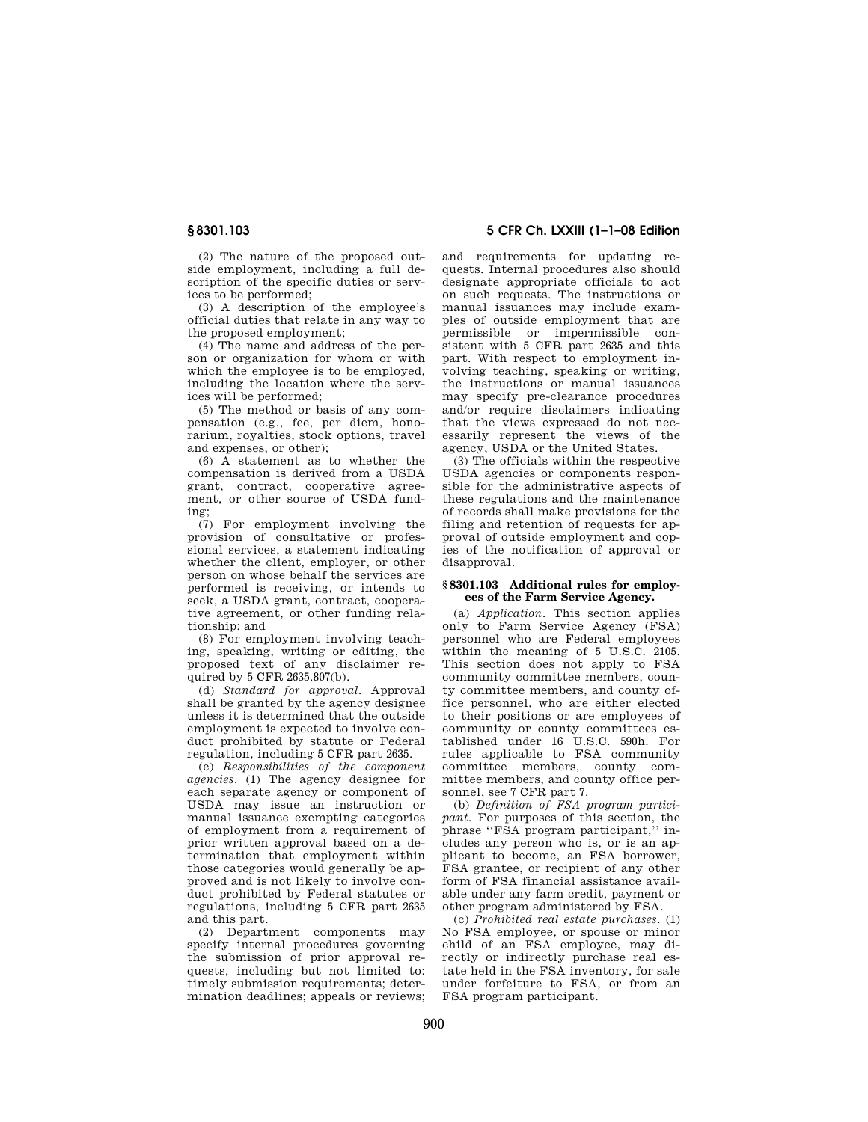(2) The nature of the proposed outside employment, including a full description of the specific duties or services to be performed;

(3) A description of the employee's official duties that relate in any way to the proposed employment;

(4) The name and address of the person or organization for whom or with which the employee is to be employed, including the location where the services will be performed;

(5) The method or basis of any compensation (e.g., fee, per diem, honorarium, royalties, stock options, travel and expenses, or other);

(6) A statement as to whether the compensation is derived from a USDA grant, contract, cooperative agreement, or other source of USDA funding;

(7) For employment involving the provision of consultative or professional services, a statement indicating whether the client, employer, or other person on whose behalf the services are performed is receiving, or intends to seek, a USDA grant, contract, cooperative agreement, or other funding relationship; and

(8) For employment involving teaching, speaking, writing or editing, the proposed text of any disclaimer required by  $5$  CFR  $2635.807(b)$ .

(d) *Standard for approval.* Approval shall be granted by the agency designee unless it is determined that the outside employment is expected to involve conduct prohibited by statute or Federal regulation, including 5 CFR part 2635.

(e) *Responsibilities of the component agencies.* (1) The agency designee for each separate agency or component of USDA may issue an instruction or manual issuance exempting categories of employment from a requirement of prior written approval based on a determination that employment within those categories would generally be approved and is not likely to involve conduct prohibited by Federal statutes or regulations, including 5 CFR part 2635 and this part.

(2) Department components may specify internal procedures governing the submission of prior approval requests, including but not limited to: timely submission requirements; determination deadlines; appeals or reviews;

**§ 8301.103 5 CFR Ch. LXXIII (1–1–08 Edition** 

and requirements for updating requests. Internal procedures also should designate appropriate officials to act on such requests. The instructions or manual issuances may include examples of outside employment that are permissible or impermissible consistent with 5 CFR part 2635 and this part. With respect to employment involving teaching, speaking or writing, the instructions or manual issuances may specify pre-clearance procedures and/or require disclaimers indicating that the views expressed do not necessarily represent the views of the agency, USDA or the United States.

(3) The officials within the respective USDA agencies or components responsible for the administrative aspects of these regulations and the maintenance of records shall make provisions for the filing and retention of requests for approval of outside employment and copies of the notification of approval or disapproval.

#### **§ 8301.103 Additional rules for employees of the Farm Service Agency.**

(a) *Application.* This section applies only to Farm Service Agency (FSA) personnel who are Federal employees within the meaning of 5 U.S.C. 2105. This section does not apply to FSA community committee members, county committee members, and county office personnel, who are either elected to their positions or are employees of community or county committees established under 16 U.S.C. 590h. For rules applicable to FSA community committee members, county committee members, and county office personnel, see 7 CFR part 7.

(b) *Definition of FSA program participant.* For purposes of this section, the phrase ''FSA program participant,'' includes any person who is, or is an applicant to become, an FSA borrower, FSA grantee, or recipient of any other form of FSA financial assistance available under any farm credit, payment or other program administered by FSA.

(c) *Prohibited real estate purchases.* (1) No FSA employee, or spouse or minor child of an FSA employee, may directly or indirectly purchase real estate held in the FSA inventory, for sale under forfeiture to FSA, or from an FSA program participant.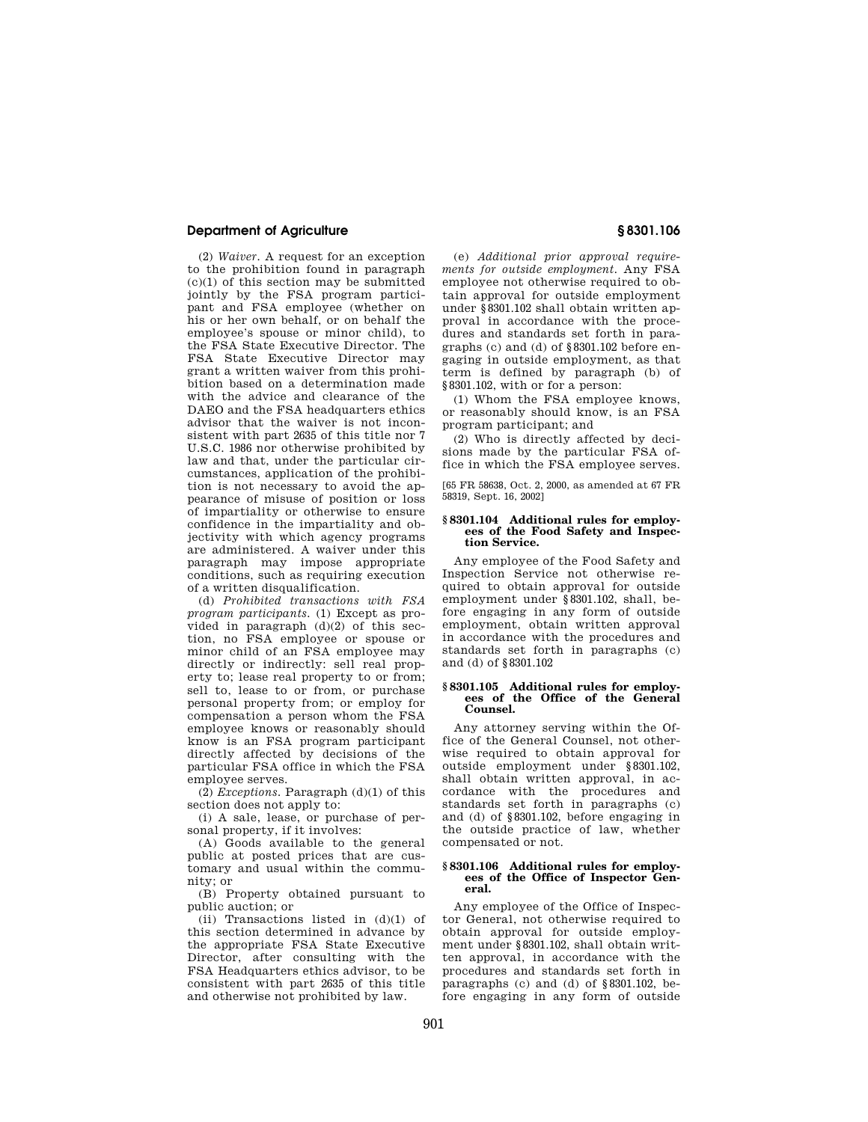### **Department of Agriculture § 8301.106**

(2) *Waiver.* A request for an exception to the prohibition found in paragraph  $(c)(1)$  of this section may be submitted jointly by the FSA program participant and FSA employee (whether on his or her own behalf, or on behalf the employee's spouse or minor child), to the FSA State Executive Director. The FSA State Executive Director may grant a written waiver from this prohibition based on a determination made with the advice and clearance of the DAEO and the FSA headquarters ethics advisor that the waiver is not inconsistent with part 2635 of this title nor 7 U.S.C. 1986 nor otherwise prohibited by law and that, under the particular circumstances, application of the prohibition is not necessary to avoid the appearance of misuse of position or loss of impartiality or otherwise to ensure confidence in the impartiality and objectivity with which agency programs are administered. A waiver under this paragraph may impose appropriate conditions, such as requiring execution of a written disqualification.

(d) *Prohibited transactions with FSA program participants.* (1) Except as provided in paragraph  $(d)(2)$  of this section, no FSA employee or spouse or minor child of an FSA employee may directly or indirectly: sell real property to; lease real property to or from; sell to, lease to or from, or purchase personal property from; or employ for compensation a person whom the FSA employee knows or reasonably should know is an FSA program participant directly affected by decisions of the particular FSA office in which the FSA employee serves.

(2) *Exceptions.* Paragraph (d)(1) of this section does not apply to:

(i) A sale, lease, or purchase of personal property, if it involves:

(A) Goods available to the general public at posted prices that are customary and usual within the community; or

(B) Property obtained pursuant to public auction; or

(ii) Transactions listed in  $(d)(1)$  of this section determined in advance by the appropriate FSA State Executive Director, after consulting with the FSA Headquarters ethics advisor, to be consistent with part 2635 of this title and otherwise not prohibited by law.

(e) *Additional prior approval requirements for outside employment.* Any FSA employee not otherwise required to obtain approval for outside employment under §8301.102 shall obtain written approval in accordance with the procedures and standards set forth in paragraphs (c) and (d) of §8301.102 before engaging in outside employment, as that term is defined by paragraph (b) of §8301.102, with or for a person:

(1) Whom the FSA employee knows, or reasonably should know, is an FSA program participant; and

(2) Who is directly affected by decisions made by the particular FSA office in which the FSA employee serves.

[65 FR 58638, Oct. 2, 2000, as amended at 67 FR 58319, Sept. 16, 2002]

### **§ 8301.104 Additional rules for employees of the Food Safety and Inspection Service.**

Any employee of the Food Safety and Inspection Service not otherwise required to obtain approval for outside employment under §8301.102, shall, before engaging in any form of outside employment, obtain written approval in accordance with the procedures and standards set forth in paragraphs (c) and (d) of §8301.102

#### **§ 8301.105 Additional rules for employees of the Office of the General Counsel.**

Any attorney serving within the Office of the General Counsel, not otherwise required to obtain approval for outside employment under §8301.102, shall obtain written approval, in accordance with the procedures and standards set forth in paragraphs (c) and (d) of §8301.102, before engaging in the outside practice of law, whether compensated or not.

#### **§ 8301.106 Additional rules for employees of the Office of Inspector General.**

Any employee of the Office of Inspector General, not otherwise required to obtain approval for outside employment under §8301.102, shall obtain written approval, in accordance with the procedures and standards set forth in paragraphs (c) and (d) of §8301.102, before engaging in any form of outside